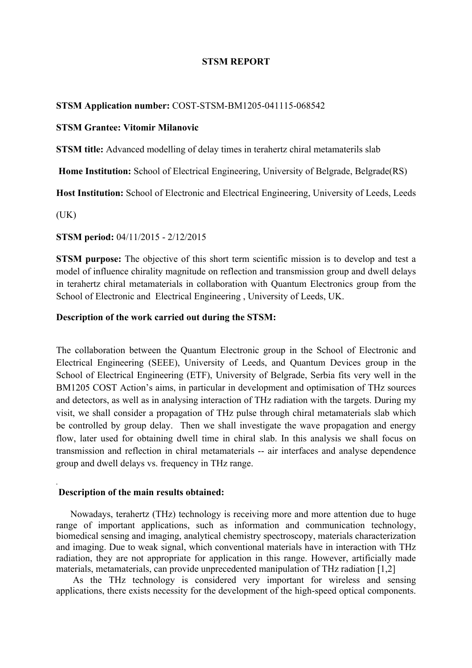## **STSM REPORT**

### **STSM Application number:** COST-STSM-BM1205-041115-068542

# **STSM Grantee: Vitomir Milanovic**

**STSM title:** Advanced modelling of delay times in terahertz chiral metamaterils slab

**Home Institution:** School of Electrical Engineering, University of Belgrade, Belgrade(RS)

**Host Institution:** School of Electronic and Electrical Engineering, University of Leeds, Leeds

 $(UK)$ 

.

**STSM period:** 04/11/2015 - 2/12/2015

**STSM purpose:** The objective of this short term scientific mission is to develop and test a model of influence chirality magnitude on reflection and transmission group and dwell delays in terahertz chiral metamaterials in collaboration with Quantum Electronics group from the School of Electronic and Electrical Engineering , University of Leeds, UK.

## **Description of the work carried out during the STSM:**

The collaboration between the Quantum Electronic group in the School of Electronic and Electrical Engineering (SEEE), University of Leeds, and Quantum Devices group in the School of Electrical Engineering (ETF), University of Belgrade, Serbia fits very well in the BM1205 COST Action's aims, in particular in development and optimisation of THz sources and detectors, as well as in analysing interaction of THz radiation with the targets. During my visit, we shall consider a propagation of THz pulse through chiral metamaterials slab which be controlled by group delay. Then we shall investigate the wave propagation and energy flow, later used for obtaining dwell time in chiral slab. In this analysis we shall focus on transmission and reflection in chiral metamaterials -- air interfaces and analyse dependence group and dwell delays vs. frequency in THz range.

### **Description of the main results obtained:**

 Nowadays, terahertz (THz) technology is receiving more and more attention due to huge range of important applications, such as information and communication technology, biomedical sensing and imaging, analytical chemistry spectroscopy, materials characterization and imaging. Due to weak signal, which conventional materials have in interaction with THz radiation, they are not appropriate for application in this range. However, artificially made materials, metamaterials, can provide unprecedented manipulation of THz radiation [1,2]

 As the THz technology is considered very important for wireless and sensing applications, there exists necessity for the development of the high-speed optical components.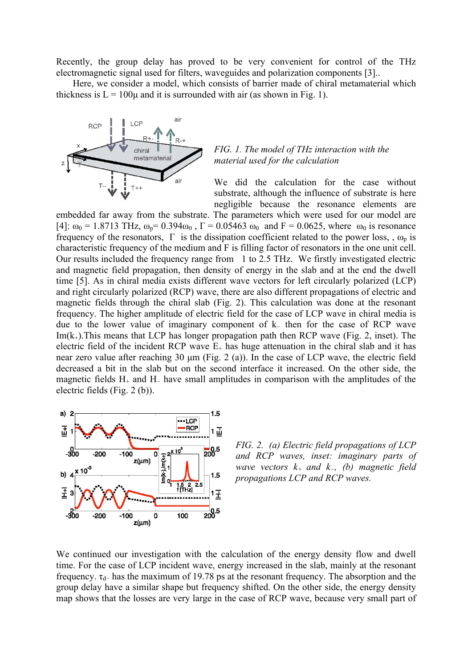Recently, the group delay has proved to be very convenient for control of the THz electromagnetic signal used for filters, waveguides and polarization components [3]..

 Here, we consider a model, which consists of barrier made of chiral metamaterial which thickness is  $L = 100\mu$  and it is surrounded with air (as shown in Fig. 1).



# *FIG. 1. The model of THz interaction with the material used for the calculation*

We did the calculation for the case without substrate, although the influence of substrate is here negligible because the resonance elements are

embedded far away from the substrate. The parameters which were used for our model are [4]:  $\omega_0 = 1.8713$  THz,  $\omega_p = 0.394 \omega_0$ ,  $\Gamma = 0.05463 \omega_0$  and  $F = 0.0625$ , where  $\omega_0$  is resonance frequency of the resonators,  $\Gamma$  is the dissipation coefficient related to the power loss, ,  $\omega_p$  is characteristic frequency of the medium and F is filling factor of resonators in the one unit cell. Our results included the frequency range from 1 to 2.5 THz. We firstly investigated electric and magnetic field propagation, then density of energy in the slab and at the end the dwell time [5]. As in chiral media exists different wave vectors for left circularly polarized (LCP) and right circularly polarized (RCP) wave, there are also different propagations of electric and magnetic fields through the chiral slab (Fig. 2). This calculation was done at the resonant frequency. The higher amplitude of electric field for the case of LCP wave in chiral media is due to the lower value of imaginary component of k<sup>−</sup> then for the case of RCP wave  $Im(k<sub>+</sub>)$ . This means that LCP has longer propagation path then RCP wave (Fig. 2, inset). The electric field of the incident RCP wave  $E_{+}$  has huge attenuation in the chiral slab and it has near zero value after reaching  $30 \mu m$  (Fig. 2 (a)). In the case of LCP wave, the electric field decreased a bit in the slab but on the second interface it increased. On the other side, the magnetic fields H+ and H<sup>−</sup> have small amplitudes in comparison with the amplitudes of the electric fields (Fig. 2 (b)).



*FIG. 2. (a) Electric field propagations of LCP and RCP waves, inset: imaginary parts of wave vectors k+ and k−, (b) magnetic field propagations LCP and RCP waves.*

We continued our investigation with the calculation of the energy density flow and dwell time. For the case of LCP incident wave, energy increased in the slab, mainly at the resonant frequency.  $\tau_{d-}$  has the maximum of 19.78 ps at the resonant frequency. The absorption and the group delay have a similar shape but frequency shifted. On the other side, the energy density map shows that the losses are very large in the case of RCP wave, because very small part of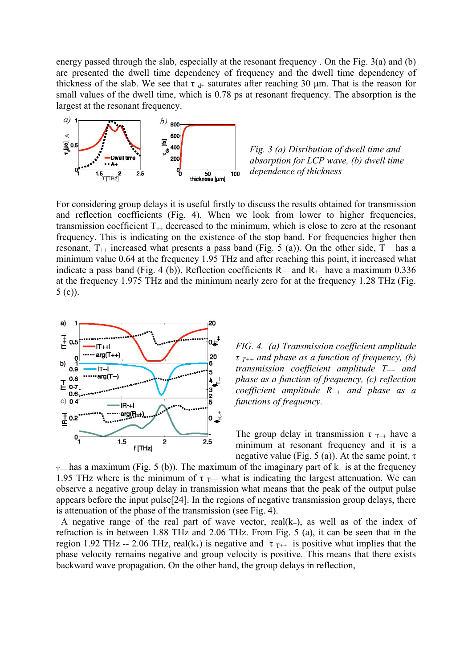energy passed through the slab, especially at the resonant frequency . On the Fig. 3(a) and (b) are presented the dwell time dependency of frequency and the dwell time dependency of thickness of the slab. We see that  $\tau_{d+}$  saturates after reaching 30 µm. That is the reason for small values of the dwell time, which is 0.78 ps at resonant frequency. The absorption is the largest at the resonant frequency.



*Fig. 3 (a) Disribution of dwell time and absorption for LCP wave, (b) dwell time dependence of thickness*

For considering group delays it is useful firstly to discuss the results obtained for transmission and reflection coefficients (Fig. 4). When we look from lower to higher frequencies, transmission coefficient  $T_{++}$  decreased to the minimum, which is close to zero at the resonant frequency. This is indicating on the existence of the stop band. For frequencies higher then resonant,  $T_{++}$  increased what presents a pass band (Fig. 5 (a)). On the other side,  $T_{--}$  has a minimum value 0.64 at the frequency 1.95 THz and after reaching this point, it increased what indicate a pass band (Fig. 4 (b)). Reflection coefficients  $R_{+}$  and  $R_{+}$  have a maximum 0.336 at the frequency 1.975 THz and the minimum nearly zero for at the frequency 1.28 THz (Fig. 5 (c)).



*FIG. 4. (a) Transmission coefficient amplitude τ T++ and phase as a function of frequency, (b) transmission coefficient amplitude T−− and phase as a function of frequency, (c) reflection coefficient amplitude R−<sup>+</sup> and phase as a functions of frequency.*

The group delay in transmission  $\tau_{T^{++}}$  have a minimum at resonant frequency and it is a negative value (Fig. 5 (a)). At the same point,  $τ$ 

 $T-$  has a maximum (Fig. 5 (b)). The maximum of the imaginary part of k– is at the frequency 1.95 THz where is the minimum of  $\tau$ <sub>T</sub>— what is indicating the largest attenuation. We can observe a negative group delay in transmission what means that the peak of the output pulse appears before the input pulse[24]. In the regions of negative transmission group delays, there is attenuation of the phase of the transmission (see Fig. 4).

A negative range of the real part of wave vector,  $real(k_{+})$ , as well as of the index of refraction is in between 1.88 THz and 2.06 THz. From Fig. 5 (a), it can be seen that in the region 1.92 THz -- 2.06 THz, real(k<sub>+</sub>) is negative and  $\tau_{T++}$  is positive what implies that the phase velocity remains negative and group velocity is positive. This means that there exists backward wave propagation. On the other hand, the group delays in reflection,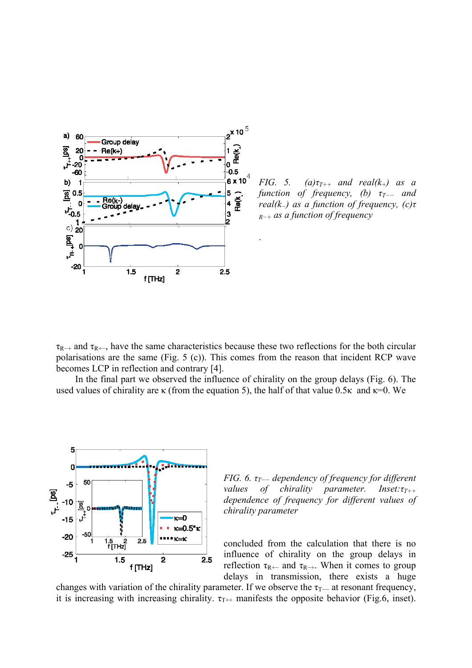

*FIG.* 5. (a) $\tau_{T++}$  and real(k<sub>+</sub>) as a *function of frequency, (b) τT−− and real(k−) as a function of frequency, (c)τ <sup>R</sup>−<sup>+</sup> as a function of frequency*

 $\tau_{R+}$  and  $\tau_{R+}$ , have the same characteristics because these two reflections for the both circular polarisations are the same (Fig. 5 (c)). This comes from the reason that incident RCP wave becomes LCP in reflection and contrary [4].

.

 In the final part we observed the influence of chirality on the group delays (Fig. 6). The used values of chirality are  $\kappa$  (from the equation 5), the half of that value 0.5 $\kappa$  and  $\kappa$ =0. We



*FIG. 6. τT−− dependency of frequency for different values of chirality parameter. Inset:τT++ dependence of frequency for different values of chirality parameter*

concluded from the calculation that there is no influence of chirality on the group delays in reflection  $\tau_{R+-}$  and  $\tau_{R-+}$ . When it comes to group delays in transmission, there exists a huge

changes with variation of the chirality parameter. If we observe the  $\tau_{\text{T}-}$  at resonant frequency, it is increasing with increasing chirality.  $\tau_{T++}$  manifests the opposite behavior (Fig.6, inset).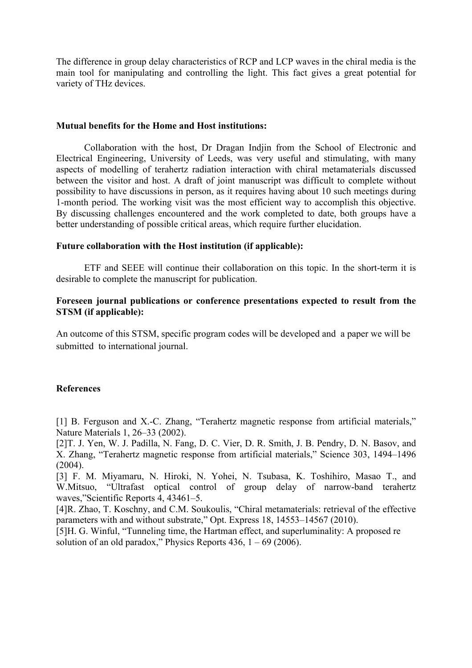The difference in group delay characteristics of RCP and LCP waves in the chiral media is the main tool for manipulating and controlling the light. This fact gives a great potential for variety of THz devices.

## **Mutual benefits for the Home and Host institutions:**

Collaboration with the host, Dr Dragan Indjin from the School of Electronic and Electrical Engineering, University of Leeds, was very useful and stimulating, with many aspects of modelling of terahertz radiation interaction with chiral metamaterials discussed between the visitor and host. A draft of joint manuscript was difficult to complete without possibility to have discussions in person, as it requires having about 10 such meetings during 1-month period. The working visit was the most efficient way to accomplish this objective. By discussing challenges encountered and the work completed to date, both groups have a better understanding of possible critical areas, which require further elucidation.

# **Future collaboration with the Host institution (if applicable):**

ETF and SEEE will continue their collaboration on this topic. In the short-term it is desirable to complete the manuscript for publication.

# **Foreseen journal publications or conference presentations expected to result from the STSM (if applicable):**

An outcome of this STSM, specific program codes will be developed and a paper we will be submitted to international journal.

# **References**

[1] B. Ferguson and X.-C. Zhang, "Terahertz magnetic response from artificial materials," Nature Materials 1, 26–33 (2002).

[2]T. J. Yen, W. J. Padilla, N. Fang, D. C. Vier, D. R. Smith, J. B. Pendry, D. N. Basov, and X. Zhang, "Terahertz magnetic response from artificial materials," Science 303, 1494–1496  $(2004)$ 

[3] F. M. Miyamaru, N. Hiroki, N. Yohei, N. Tsubasa, K. Toshihiro, Masao T., and W.Mitsuo, "Ultrafast optical control of group delay of narrow-band terahertz waves,"Scientific Reports 4, 43461–5.

[4]R. Zhao, T. Koschny, and C.M. Soukoulis, "Chiral metamaterials: retrieval of the effective parameters with and without substrate," Opt. Express 18, 14553–14567 (2010).

[5]H. G. Winful, "Tunneling time, the Hartman effect, and superluminality: A proposed re solution of an old paradox," Physics Reports  $436$ ,  $1 - 69$  (2006).